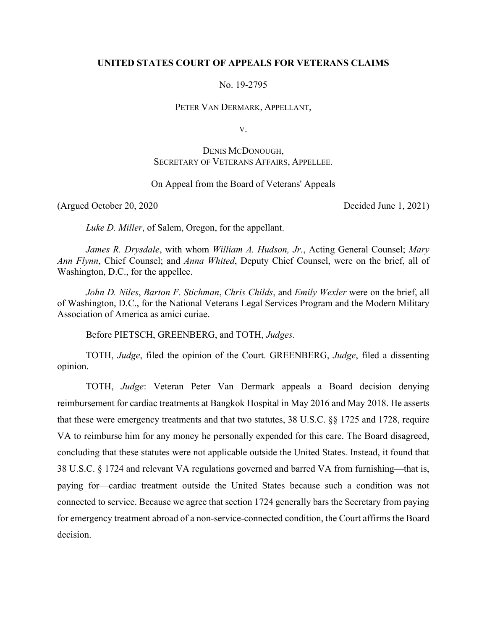# **UNITED STATES COURT OF APPEALS FOR VETERANS CLAIMS**

No. 19-2795

PETER VAN DERMARK, APPELLANT,

V.

# DENIS MCDONOUGH, SECRETARY OF VETERANS AFFAIRS, APPELLEE.

# On Appeal from the Board of Veterans' Appeals

(Argued October 20, 2020 Decided June 1, 2021)

*Luke D. Miller*, of Salem, Oregon, for the appellant.

*James R. Drysdale*, with whom *William A. Hudson, Jr.*, Acting General Counsel; *Mary Ann Flynn*, Chief Counsel; and *Anna Whited*, Deputy Chief Counsel, were on the brief, all of Washington, D.C., for the appellee.

*John D. Niles*, *Barton F. Stichman*, *Chris Childs*, and *Emily Wexler* were on the brief, all of Washington, D.C., for the National Veterans Legal Services Program and the Modern Military Association of America as amici curiae.

Before PIETSCH, GREENBERG, and TOTH, *Judges*.

TOTH, *Judge*, filed the opinion of the Court. GREENBERG, *Judge*, filed a dissenting opinion.

 TOTH, *Judge*: Veteran Peter Van Dermark appeals a Board decision denying reimbursement for cardiac treatments at Bangkok Hospital in May 2016 and May 2018. He asserts that these were emergency treatments and that two statutes, 38 U.S.C. §§ 1725 and 1728, require VA to reimburse him for any money he personally expended for this care. The Board disagreed, concluding that these statutes were not applicable outside the United States. Instead, it found that 38 U.S.C. § 1724 and relevant VA regulations governed and barred VA from furnishing—that is, paying for—cardiac treatment outside the United States because such a condition was not connected to service. Because we agree that section 1724 generally bars the Secretary from paying for emergency treatment abroad of a non-service-connected condition, the Court affirms the Board decision.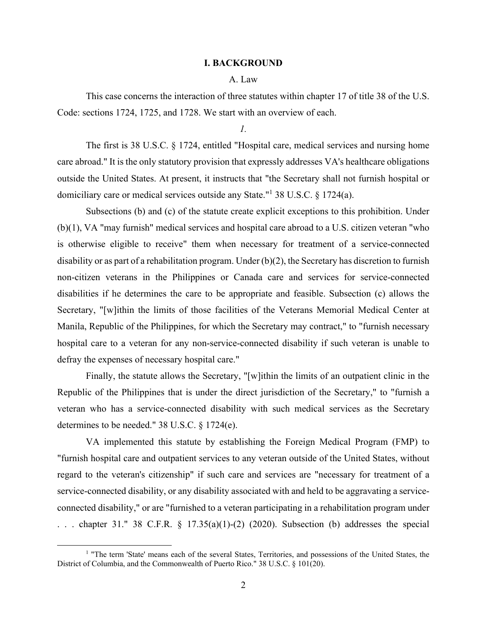#### **I. BACKGROUND**

### A. Law

 This case concerns the interaction of three statutes within chapter 17 of title 38 of the U.S. Code: sections 1724, 1725, and 1728. We start with an overview of each.

*1.* 

 The first is 38 U.S.C. § 1724, entitled "Hospital care, medical services and nursing home care abroad." It is the only statutory provision that expressly addresses VA's healthcare obligations outside the United States. At present, it instructs that "the Secretary shall not furnish hospital or domiciliary care or medical services outside any State."<sup>1</sup> 38 U.S.C. § 1724(a).

Subsections (b) and (c) of the statute create explicit exceptions to this prohibition. Under (b)(1), VA "may furnish" medical services and hospital care abroad to a U.S. citizen veteran "who is otherwise eligible to receive" them when necessary for treatment of a service-connected disability or as part of a rehabilitation program. Under (b)(2), the Secretary has discretion to furnish non-citizen veterans in the Philippines or Canada care and services for service-connected disabilities if he determines the care to be appropriate and feasible. Subsection (c) allows the Secretary, "[w]ithin the limits of those facilities of the Veterans Memorial Medical Center at Manila, Republic of the Philippines, for which the Secretary may contract," to "furnish necessary hospital care to a veteran for any non-service-connected disability if such veteran is unable to defray the expenses of necessary hospital care."

Finally, the statute allows the Secretary, "[w]ithin the limits of an outpatient clinic in the Republic of the Philippines that is under the direct jurisdiction of the Secretary," to "furnish a veteran who has a service-connected disability with such medical services as the Secretary determines to be needed." 38 U.S.C. § 1724(e).

VA implemented this statute by establishing the Foreign Medical Program (FMP) to "furnish hospital care and outpatient services to any veteran outside of the United States, without regard to the veteran's citizenship" if such care and services are "necessary for treatment of a service-connected disability, or any disability associated with and held to be aggravating a serviceconnected disability," or are "furnished to a veteran participating in a rehabilitation program under ... chapter 31." 38 C.F.R.  $\S$  17.35(a)(1)-(2) (2020). Subsection (b) addresses the special

<sup>&</sup>lt;sup>1</sup> "The term 'State' means each of the several States, Territories, and possessions of the United States, the District of Columbia, and the Commonwealth of Puerto Rico." 38 U.S.C. § 101(20).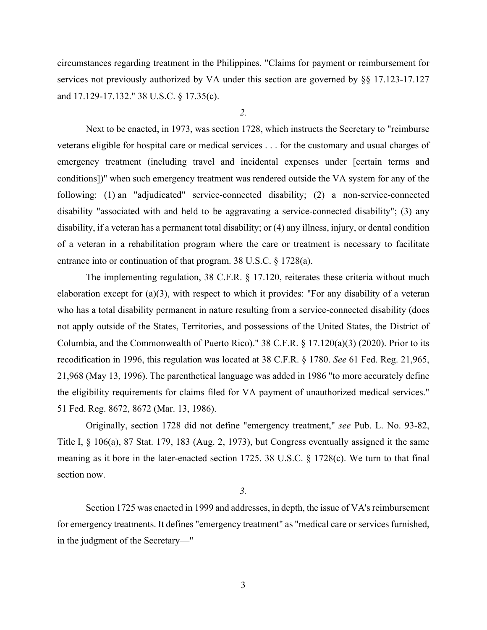circumstances regarding treatment in the Philippines. "Claims for payment or reimbursement for services not previously authorized by VA under this section are governed by §§ 17.123-17.127 and 17.129-17.132." 38 U.S.C. § 17.35(c).

*2.* 

Next to be enacted, in 1973, was section 1728, which instructs the Secretary to "reimburse veterans eligible for hospital care or medical services . . . for the customary and usual charges of emergency treatment (including travel and incidental expenses under [certain terms and conditions])" when such emergency treatment was rendered outside the VA system for any of the following: (1) an "adjudicated" service-connected disability; (2) a non-service-connected disability "associated with and held to be aggravating a service-connected disability"; (3) any disability, if a veteran has a permanent total disability; or (4) any illness, injury, or dental condition of a veteran in a rehabilitation program where the care or treatment is necessary to facilitate entrance into or continuation of that program. 38 U.S.C. § 1728(a).

The implementing regulation, 38 C.F.R. § 17.120, reiterates these criteria without much elaboration except for (a)(3), with respect to which it provides: "For any disability of a veteran who has a total disability permanent in nature resulting from a service-connected disability (does not apply outside of the States, Territories, and possessions of the United States, the District of Columbia, and the Commonwealth of Puerto Rico)." 38 C.F.R. § 17.120(a)(3) (2020). Prior to its recodification in 1996, this regulation was located at 38 C.F.R. § 1780. *See* 61 Fed. Reg. 21,965, 21,968 (May 13, 1996). The parenthetical language was added in 1986 "to more accurately define the eligibility requirements for claims filed for VA payment of unauthorized medical services." 51 Fed. Reg. 8672, 8672 (Mar. 13, 1986).

Originally, section 1728 did not define "emergency treatment," *see* Pub. L. No. 93-82, Title I, § 106(a), 87 Stat. 179, 183 (Aug. 2, 1973), but Congress eventually assigned it the same meaning as it bore in the later-enacted section 1725. 38 U.S.C. § 1728(c). We turn to that final section now.

*3.* 

Section 1725 was enacted in 1999 and addresses, in depth, the issue of VA's reimbursement for emergency treatments. It defines "emergency treatment" as "medical care or services furnished, in the judgment of the Secretary—"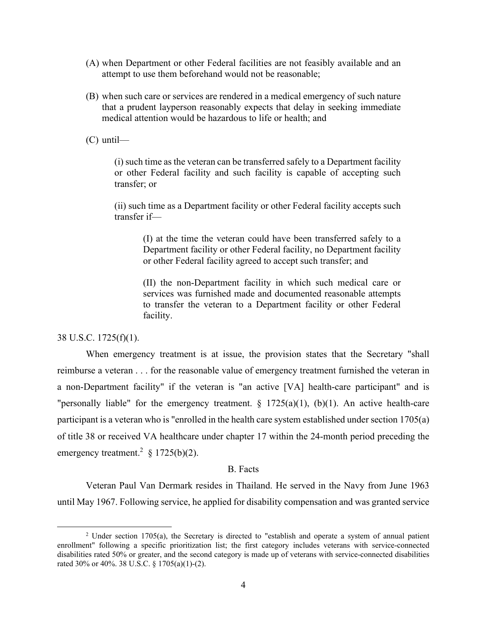- (A) when Department or other Federal facilities are not feasibly available and an attempt to use them beforehand would not be reasonable;
- (B) when such care or services are rendered in a medical emergency of such nature that a prudent layperson reasonably expects that delay in seeking immediate medical attention would be hazardous to life or health; and
- (C) until—

(i) such time as the veteran can be transferred safely to a Department facility or other Federal facility and such facility is capable of accepting such transfer; or

(ii) such time as a Department facility or other Federal facility accepts such transfer if—

(I) at the time the veteran could have been transferred safely to a Department facility or other Federal facility, no Department facility or other Federal facility agreed to accept such transfer; and

(II) the non-Department facility in which such medical care or services was furnished made and documented reasonable attempts to transfer the veteran to a Department facility or other Federal facility.

#### 38 U.S.C. 1725(f)(1).

When emergency treatment is at issue, the provision states that the Secretary "shall reimburse a veteran . . . for the reasonable value of emergency treatment furnished the veteran in a non-Department facility" if the veteran is "an active [VA] health-care participant" and is "personally liable" for the emergency treatment.  $\S$  1725(a)(1), (b)(1). An active health-care participant is a veteran who is "enrolled in the health care system established under section 1705(a) of title 38 or received VA healthcare under chapter 17 within the 24-month period preceding the emergency treatment.<sup>2</sup> § 1725(b)(2).

# B. Facts

Veteran Paul Van Dermark resides in Thailand. He served in the Navy from June 1963 until May 1967. Following service, he applied for disability compensation and was granted service

<sup>&</sup>lt;sup>2</sup> Under section 1705(a), the Secretary is directed to "establish and operate a system of annual patient enrollment" following a specific prioritization list; the first category includes veterans with service-connected disabilities rated 50% or greater, and the second category is made up of veterans with service-connected disabilities rated 30% or 40%. 38 U.S.C. § 1705(a)(1)-(2).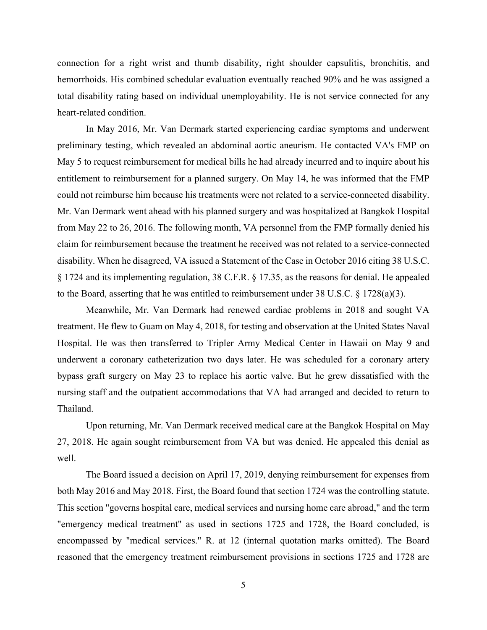connection for a right wrist and thumb disability, right shoulder capsulitis, bronchitis, and hemorrhoids. His combined schedular evaluation eventually reached 90% and he was assigned a total disability rating based on individual unemployability. He is not service connected for any heart-related condition.

 In May 2016, Mr. Van Dermark started experiencing cardiac symptoms and underwent preliminary testing, which revealed an abdominal aortic aneurism. He contacted VA's FMP on May 5 to request reimbursement for medical bills he had already incurred and to inquire about his entitlement to reimbursement for a planned surgery. On May 14, he was informed that the FMP could not reimburse him because his treatments were not related to a service-connected disability. Mr. Van Dermark went ahead with his planned surgery and was hospitalized at Bangkok Hospital from May 22 to 26, 2016. The following month, VA personnel from the FMP formally denied his claim for reimbursement because the treatment he received was not related to a service-connected disability. When he disagreed, VA issued a Statement of the Case in October 2016 citing 38 U.S.C. § 1724 and its implementing regulation, 38 C.F.R. § 17.35, as the reasons for denial. He appealed to the Board, asserting that he was entitled to reimbursement under 38 U.S.C. § 1728(a)(3).

Meanwhile, Mr. Van Dermark had renewed cardiac problems in 2018 and sought VA treatment. He flew to Guam on May 4, 2018, for testing and observation at the United States Naval Hospital. He was then transferred to Tripler Army Medical Center in Hawaii on May 9 and underwent a coronary catheterization two days later. He was scheduled for a coronary artery bypass graft surgery on May 23 to replace his aortic valve. But he grew dissatisfied with the nursing staff and the outpatient accommodations that VA had arranged and decided to return to Thailand.

Upon returning, Mr. Van Dermark received medical care at the Bangkok Hospital on May 27, 2018. He again sought reimbursement from VA but was denied. He appealed this denial as well.

The Board issued a decision on April 17, 2019, denying reimbursement for expenses from both May 2016 and May 2018. First, the Board found that section 1724 was the controlling statute. This section "governs hospital care, medical services and nursing home care abroad," and the term "emergency medical treatment" as used in sections 1725 and 1728, the Board concluded, is encompassed by "medical services." R. at 12 (internal quotation marks omitted). The Board reasoned that the emergency treatment reimbursement provisions in sections 1725 and 1728 are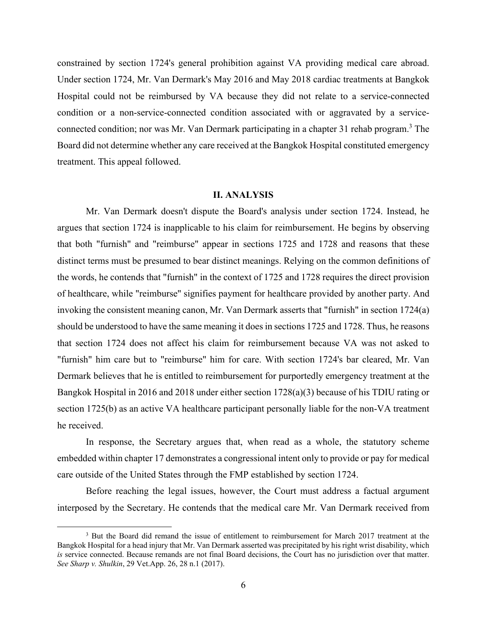constrained by section 1724's general prohibition against VA providing medical care abroad. Under section 1724, Mr. Van Dermark's May 2016 and May 2018 cardiac treatments at Bangkok Hospital could not be reimbursed by VA because they did not relate to a service-connected condition or a non-service-connected condition associated with or aggravated by a serviceconnected condition; nor was Mr. Van Dermark participating in a chapter 31 rehab program.<sup>3</sup> The Board did not determine whether any care received at the Bangkok Hospital constituted emergency treatment. This appeal followed.

### **II. ANALYSIS**

Mr. Van Dermark doesn't dispute the Board's analysis under section 1724. Instead, he argues that section 1724 is inapplicable to his claim for reimbursement. He begins by observing that both "furnish" and "reimburse" appear in sections 1725 and 1728 and reasons that these distinct terms must be presumed to bear distinct meanings. Relying on the common definitions of the words, he contends that "furnish" in the context of 1725 and 1728 requires the direct provision of healthcare, while "reimburse" signifies payment for healthcare provided by another party. And invoking the consistent meaning canon, Mr. Van Dermark asserts that "furnish" in section 1724(a) should be understood to have the same meaning it does in sections 1725 and 1728. Thus, he reasons that section 1724 does not affect his claim for reimbursement because VA was not asked to "furnish" him care but to "reimburse" him for care. With section 1724's bar cleared, Mr. Van Dermark believes that he is entitled to reimbursement for purportedly emergency treatment at the Bangkok Hospital in 2016 and 2018 under either section 1728(a)(3) because of his TDIU rating or section 1725(b) as an active VA healthcare participant personally liable for the non-VA treatment he received.

In response, the Secretary argues that, when read as a whole, the statutory scheme embedded within chapter 17 demonstrates a congressional intent only to provide or pay for medical care outside of the United States through the FMP established by section 1724.

Before reaching the legal issues, however, the Court must address a factual argument interposed by the Secretary. He contends that the medical care Mr. Van Dermark received from

<sup>&</sup>lt;sup>3</sup> But the Board did remand the issue of entitlement to reimbursement for March 2017 treatment at the Bangkok Hospital for a head injury that Mr. Van Dermark asserted was precipitated by his right wrist disability, which *is* service connected. Because remands are not final Board decisions, the Court has no jurisdiction over that matter. *See Sharp v. Shulkin*, 29 Vet.App. 26, 28 n.1 (2017).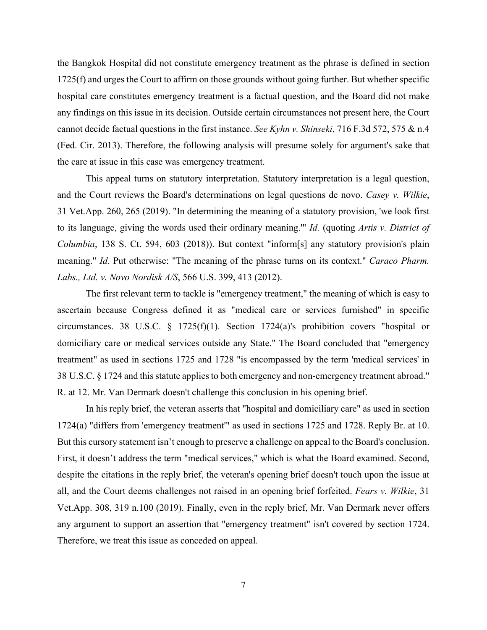the Bangkok Hospital did not constitute emergency treatment as the phrase is defined in section 1725(f) and urges the Court to affirm on those grounds without going further. But whether specific hospital care constitutes emergency treatment is a factual question, and the Board did not make any findings on this issue in its decision. Outside certain circumstances not present here, the Court cannot decide factual questions in the first instance. *See Kyhn v. Shinseki*, 716 F.3d 572, 575 & n.4 (Fed. Cir. 2013). Therefore, the following analysis will presume solely for argument's sake that the care at issue in this case was emergency treatment.

This appeal turns on statutory interpretation. Statutory interpretation is a legal question, and the Court reviews the Board's determinations on legal questions de novo. *Casey v. Wilkie*, 31 Vet.App. 260, 265 (2019). "In determining the meaning of a statutory provision, 'we look first to its language, giving the words used their ordinary meaning.'" *Id.* (quoting *Artis v. District of Columbia*, 138 S. Ct. 594, 603 (2018)). But context "inform[s] any statutory provision's plain meaning." *Id.* Put otherwise: "The meaning of the phrase turns on its context." *Caraco Pharm. Labs., Ltd. v. Novo Nordisk A/S*, 566 U.S. 399, 413 (2012).

The first relevant term to tackle is "emergency treatment," the meaning of which is easy to ascertain because Congress defined it as "medical care or services furnished" in specific circumstances. 38 U.S.C. § 1725(f)(1). Section 1724(a)'s prohibition covers "hospital or domiciliary care or medical services outside any State." The Board concluded that "emergency treatment" as used in sections 1725 and 1728 "is encompassed by the term 'medical services' in 38 U.S.C. § 1724 and this statute applies to both emergency and non-emergency treatment abroad." R. at 12. Mr. Van Dermark doesn't challenge this conclusion in his opening brief.

In his reply brief, the veteran asserts that "hospital and domiciliary care" as used in section 1724(a) "differs from 'emergency treatment'" as used in sections 1725 and 1728. Reply Br. at 10. But this cursory statement isn't enough to preserve a challenge on appeal to the Board's conclusion. First, it doesn't address the term "medical services," which is what the Board examined. Second, despite the citations in the reply brief, the veteran's opening brief doesn't touch upon the issue at all, and the Court deems challenges not raised in an opening brief forfeited. *Fears v. Wilkie*, 31 Vet.App. 308, 319 n.100 (2019). Finally, even in the reply brief, Mr. Van Dermark never offers any argument to support an assertion that "emergency treatment" isn't covered by section 1724. Therefore, we treat this issue as conceded on appeal.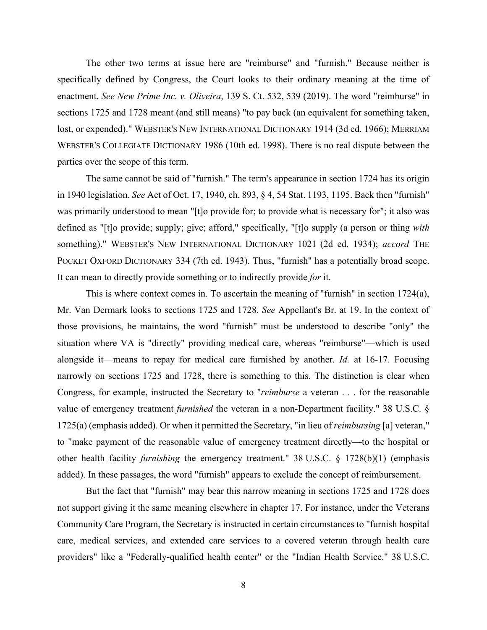The other two terms at issue here are "reimburse" and "furnish." Because neither is specifically defined by Congress, the Court looks to their ordinary meaning at the time of enactment. *See New Prime Inc. v. Oliveira*, 139 S. Ct. 532, 539 (2019). The word "reimburse" in sections 1725 and 1728 meant (and still means) "to pay back (an equivalent for something taken, lost, or expended)." WEBSTER'S NEW INTERNATIONAL DICTIONARY 1914 (3d ed. 1966); MERRIAM WEBSTER'S COLLEGIATE DICTIONARY 1986 (10th ed. 1998). There is no real dispute between the parties over the scope of this term.

The same cannot be said of "furnish." The term's appearance in section 1724 has its origin in 1940 legislation. *See* Act of Oct. 17, 1940, ch. 893, § 4, 54 Stat. 1193, 1195. Back then "furnish" was primarily understood to mean "[t]o provide for; to provide what is necessary for"; it also was defined as "[t]o provide; supply; give; afford," specifically, "[t]o supply (a person or thing *with* something)." WEBSTER'S NEW INTERNATIONAL DICTIONARY 1021 (2d ed. 1934); *accord* THE POCKET OXFORD DICTIONARY 334 (7th ed. 1943). Thus, "furnish" has a potentially broad scope. It can mean to directly provide something or to indirectly provide *for* it.

This is where context comes in. To ascertain the meaning of "furnish" in section 1724(a), Mr. Van Dermark looks to sections 1725 and 1728. *See* Appellant's Br. at 19. In the context of those provisions, he maintains, the word "furnish" must be understood to describe "only" the situation where VA is "directly" providing medical care, whereas "reimburse"—which is used alongside it—means to repay for medical care furnished by another. *Id.* at 16-17. Focusing narrowly on sections 1725 and 1728, there is something to this. The distinction is clear when Congress, for example, instructed the Secretary to "*reimburse* a veteran . . . for the reasonable value of emergency treatment *furnished* the veteran in a non-Department facility." 38 U.S.C. § 1725(a) (emphasis added). Or when it permitted the Secretary, "in lieu of *reimbursing* [a] veteran," to "make payment of the reasonable value of emergency treatment directly—to the hospital or other health facility *furnishing* the emergency treatment." 38 U.S.C. § 1728(b)(1) (emphasis added). In these passages, the word "furnish" appears to exclude the concept of reimbursement.

 But the fact that "furnish" may bear this narrow meaning in sections 1725 and 1728 does not support giving it the same meaning elsewhere in chapter 17. For instance, under the Veterans Community Care Program, the Secretary is instructed in certain circumstances to "furnish hospital care, medical services, and extended care services to a covered veteran through health care providers" like a "Federally-qualified health center" or the "Indian Health Service." 38 U.S.C.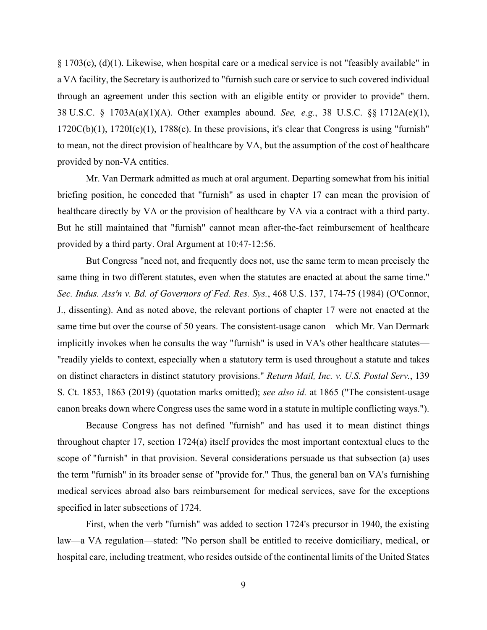§ 1703(c), (d)(1). Likewise, when hospital care or a medical service is not "feasibly available" in a VA facility, the Secretary is authorized to "furnish such care or service to such covered individual through an agreement under this section with an eligible entity or provider to provide" them. 38 U.S.C. § 1703A(a)(1)(A). Other examples abound. *See, e.g.*, 38 U.S.C. §§ 1712A(e)(1),  $1720C(b)(1)$ ,  $1720I(c)(1)$ ,  $1788(c)$ . In these provisions, it's clear that Congress is using "furnish" to mean, not the direct provision of healthcare by VA, but the assumption of the cost of healthcare provided by non-VA entities.

 Mr. Van Dermark admitted as much at oral argument. Departing somewhat from his initial briefing position, he conceded that "furnish" as used in chapter 17 can mean the provision of healthcare directly by VA or the provision of healthcare by VA via a contract with a third party. But he still maintained that "furnish" cannot mean after-the-fact reimbursement of healthcare provided by a third party. Oral Argument at 10:47-12:56.

 But Congress "need not, and frequently does not, use the same term to mean precisely the same thing in two different statutes, even when the statutes are enacted at about the same time." *Sec. Indus. Ass'n v. Bd. of Governors of Fed. Res. Sys.*, 468 U.S. 137, 174-75 (1984) (O'Connor, J., dissenting). And as noted above, the relevant portions of chapter 17 were not enacted at the same time but over the course of 50 years. The consistent-usage canon—which Mr. Van Dermark implicitly invokes when he consults the way "furnish" is used in VA's other healthcare statutes— "readily yields to context, especially when a statutory term is used throughout a statute and takes on distinct characters in distinct statutory provisions." *Return Mail, Inc. v. U.S. Postal Serv.*, 139 S. Ct. 1853, 1863 (2019) (quotation marks omitted); *see also id.* at 1865 ("The consistent-usage canon breaks down where Congress uses the same word in a statute in multiple conflicting ways.").

Because Congress has not defined "furnish" and has used it to mean distinct things throughout chapter 17, section 1724(a) itself provides the most important contextual clues to the scope of "furnish" in that provision. Several considerations persuade us that subsection (a) uses the term "furnish" in its broader sense of "provide for." Thus, the general ban on VA's furnishing medical services abroad also bars reimbursement for medical services, save for the exceptions specified in later subsections of 1724.

First, when the verb "furnish" was added to section 1724's precursor in 1940, the existing law—a VA regulation—stated: "No person shall be entitled to receive domiciliary, medical, or hospital care, including treatment, who resides outside of the continental limits of the United States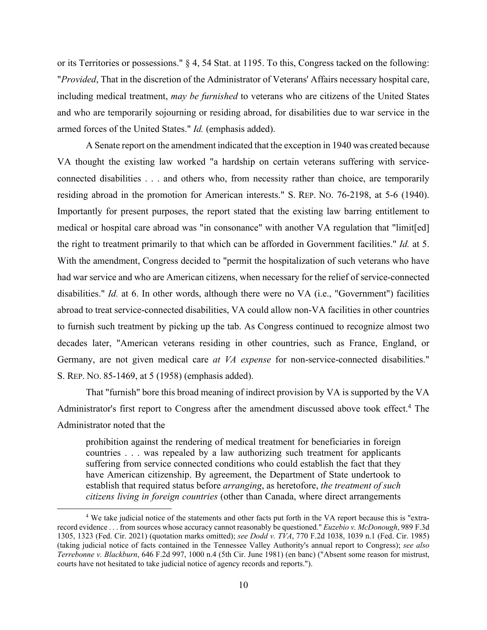or its Territories or possessions." § 4, 54 Stat. at 1195. To this, Congress tacked on the following: "*Provided*, That in the discretion of the Administrator of Veterans' Affairs necessary hospital care, including medical treatment, *may be furnished* to veterans who are citizens of the United States and who are temporarily sojourning or residing abroad, for disabilities due to war service in the armed forces of the United States." *Id.* (emphasis added).

A Senate report on the amendment indicated that the exception in 1940 was created because VA thought the existing law worked "a hardship on certain veterans suffering with serviceconnected disabilities . . . and others who, from necessity rather than choice, are temporarily residing abroad in the promotion for American interests." S. REP. NO. 76-2198, at 5-6 (1940). Importantly for present purposes, the report stated that the existing law barring entitlement to medical or hospital care abroad was "in consonance" with another VA regulation that "limit[ed] the right to treatment primarily to that which can be afforded in Government facilities." *Id.* at 5. With the amendment, Congress decided to "permit the hospitalization of such veterans who have had war service and who are American citizens, when necessary for the relief of service-connected disabilities." *Id.* at 6. In other words, although there were no VA (i.e., "Government") facilities abroad to treat service-connected disabilities, VA could allow non-VA facilities in other countries to furnish such treatment by picking up the tab. As Congress continued to recognize almost two decades later, "American veterans residing in other countries, such as France, England, or Germany, are not given medical care *at VA expense* for non-service-connected disabilities." S. REP. NO. 85-1469, at 5 (1958) (emphasis added).

That "furnish" bore this broad meaning of indirect provision by VA is supported by the VA Administrator's first report to Congress after the amendment discussed above took effect.<sup>4</sup> The Administrator noted that the

prohibition against the rendering of medical treatment for beneficiaries in foreign countries . . . was repealed by a law authorizing such treatment for applicants suffering from service connected conditions who could establish the fact that they have American citizenship. By agreement, the Department of State undertook to establish that required status before *arranging*, as heretofore, *the treatment of such citizens living in foreign countries* (other than Canada, where direct arrangements

<sup>&</sup>lt;sup>4</sup> We take judicial notice of the statements and other facts put forth in the VA report because this is "extrarecord evidence . . . from sources whose accuracy cannot reasonably be questioned." *Euzebio v. McDonough*, 989 F.3d 1305, 1323 (Fed. Cir. 2021) (quotation marks omitted); *see Dodd v. TVA*, 770 F.2d 1038, 1039 n.1 (Fed. Cir. 1985) (taking judicial notice of facts contained in the Tennessee Valley Authority's annual report to Congress); *see also Terrebonne v. Blackburn*, 646 F.2d 997, 1000 n.4 (5th Cir. June 1981) (en banc) ("Absent some reason for mistrust, courts have not hesitated to take judicial notice of agency records and reports.").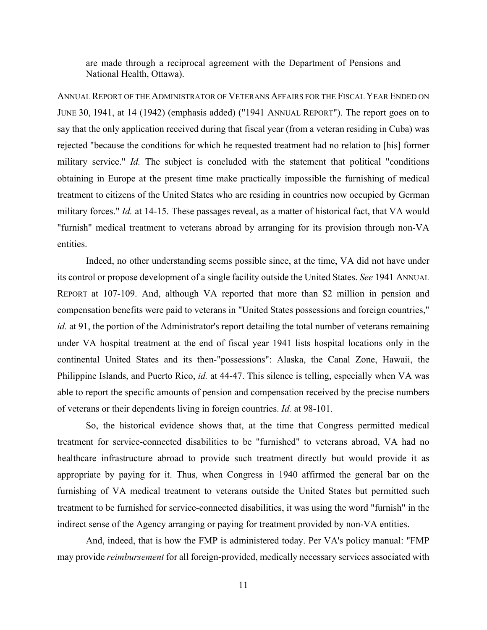are made through a reciprocal agreement with the Department of Pensions and National Health, Ottawa).

ANNUAL REPORT OF THE ADMINISTRATOR OF VETERANS AFFAIRS FOR THE FISCAL YEAR ENDED ON JUNE 30, 1941, at 14 (1942) (emphasis added) ("1941 ANNUAL REPORT"). The report goes on to say that the only application received during that fiscal year (from a veteran residing in Cuba) was rejected "because the conditions for which he requested treatment had no relation to [his] former military service." *Id.* The subject is concluded with the statement that political "conditions" obtaining in Europe at the present time make practically impossible the furnishing of medical treatment to citizens of the United States who are residing in countries now occupied by German military forces." *Id.* at 14-15. These passages reveal, as a matter of historical fact, that VA would "furnish" medical treatment to veterans abroad by arranging for its provision through non-VA entities.

 Indeed, no other understanding seems possible since, at the time, VA did not have under its control or propose development of a single facility outside the United States. *See* 1941 ANNUAL REPORT at 107-109. And, although VA reported that more than \$2 million in pension and compensation benefits were paid to veterans in "United States possessions and foreign countries," *id.* at 91, the portion of the Administrator's report detailing the total number of veterans remaining under VA hospital treatment at the end of fiscal year 1941 lists hospital locations only in the continental United States and its then-"possessions": Alaska, the Canal Zone, Hawaii, the Philippine Islands, and Puerto Rico, *id.* at 44-47. This silence is telling, especially when VA was able to report the specific amounts of pension and compensation received by the precise numbers of veterans or their dependents living in foreign countries. *Id.* at 98-101.

 So, the historical evidence shows that, at the time that Congress permitted medical treatment for service-connected disabilities to be "furnished" to veterans abroad, VA had no healthcare infrastructure abroad to provide such treatment directly but would provide it as appropriate by paying for it. Thus, when Congress in 1940 affirmed the general bar on the furnishing of VA medical treatment to veterans outside the United States but permitted such treatment to be furnished for service-connected disabilities, it was using the word "furnish" in the indirect sense of the Agency arranging or paying for treatment provided by non-VA entities.

 And, indeed, that is how the FMP is administered today. Per VA's policy manual: "FMP may provide *reimbursement* for all foreign-provided, medically necessary services associated with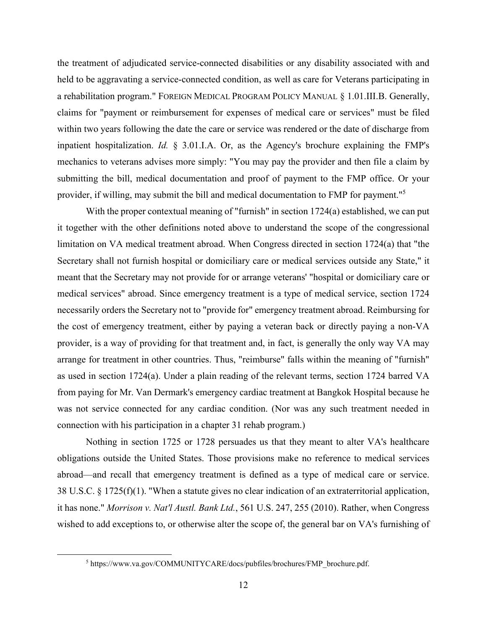the treatment of adjudicated service-connected disabilities or any disability associated with and held to be aggravating a service-connected condition, as well as care for Veterans participating in a rehabilitation program." FOREIGN MEDICAL PROGRAM POLICY MANUAL § 1.01.III.B. Generally, claims for "payment or reimbursement for expenses of medical care or services" must be filed within two years following the date the care or service was rendered or the date of discharge from inpatient hospitalization. *Id.* § 3.01.I.A. Or, as the Agency's brochure explaining the FMP's mechanics to veterans advises more simply: "You may pay the provider and then file a claim by submitting the bill, medical documentation and proof of payment to the FMP office. Or your provider, if willing, may submit the bill and medical documentation to FMP for payment."5

With the proper contextual meaning of "furnish" in section 1724(a) established, we can put it together with the other definitions noted above to understand the scope of the congressional limitation on VA medical treatment abroad. When Congress directed in section 1724(a) that "the Secretary shall not furnish hospital or domiciliary care or medical services outside any State," it meant that the Secretary may not provide for or arrange veterans' "hospital or domiciliary care or medical services" abroad. Since emergency treatment is a type of medical service, section 1724 necessarily orders the Secretary not to "provide for" emergency treatment abroad. Reimbursing for the cost of emergency treatment, either by paying a veteran back or directly paying a non-VA provider, is a way of providing for that treatment and, in fact, is generally the only way VA may arrange for treatment in other countries. Thus, "reimburse" falls within the meaning of "furnish" as used in section 1724(a). Under a plain reading of the relevant terms, section 1724 barred VA from paying for Mr. Van Dermark's emergency cardiac treatment at Bangkok Hospital because he was not service connected for any cardiac condition. (Nor was any such treatment needed in connection with his participation in a chapter 31 rehab program.)

Nothing in section 1725 or 1728 persuades us that they meant to alter VA's healthcare obligations outside the United States. Those provisions make no reference to medical services abroad—and recall that emergency treatment is defined as a type of medical care or service. 38 U.S.C. § 1725(f)(1). "When a statute gives no clear indication of an extraterritorial application, it has none." *Morrison v. Nat'l Austl. Bank Ltd.*, 561 U.S. 247, 255 (2010). Rather, when Congress wished to add exceptions to, or otherwise alter the scope of, the general bar on VA's furnishing of

<sup>5</sup> https://www.va.gov/COMMUNITYCARE/docs/pubfiles/brochures/FMP\_brochure.pdf.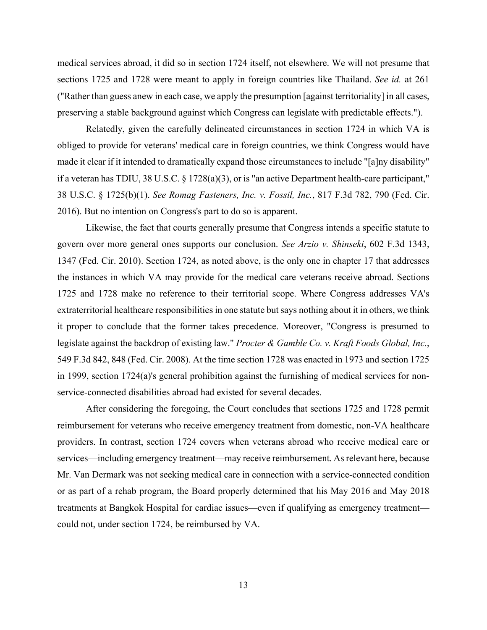medical services abroad, it did so in section 1724 itself, not elsewhere. We will not presume that sections 1725 and 1728 were meant to apply in foreign countries like Thailand. *See id.* at 261 ("Rather than guess anew in each case, we apply the presumption [against territoriality] in all cases, preserving a stable background against which Congress can legislate with predictable effects.").

Relatedly, given the carefully delineated circumstances in section 1724 in which VA is obliged to provide for veterans' medical care in foreign countries, we think Congress would have made it clear if it intended to dramatically expand those circumstances to include "[a]ny disability" if a veteran has TDIU, 38 U.S.C. § 1728(a)(3), or is "an active Department health-care participant," 38 U.S.C. § 1725(b)(1). *See Romag Fasteners, Inc. v. Fossil, Inc.*, 817 F.3d 782, 790 (Fed. Cir. 2016). But no intention on Congress's part to do so is apparent.

Likewise, the fact that courts generally presume that Congress intends a specific statute to govern over more general ones supports our conclusion. *See Arzio v. Shinseki*, 602 F.3d 1343, 1347 (Fed. Cir. 2010). Section 1724, as noted above, is the only one in chapter 17 that addresses the instances in which VA may provide for the medical care veterans receive abroad. Sections 1725 and 1728 make no reference to their territorial scope. Where Congress addresses VA's extraterritorial healthcare responsibilities in one statute but says nothing about it in others, we think it proper to conclude that the former takes precedence. Moreover, "Congress is presumed to legislate against the backdrop of existing law." *Procter & Gamble Co. v. Kraft Foods Global, Inc.*, 549 F.3d 842, 848 (Fed. Cir. 2008). At the time section 1728 was enacted in 1973 and section 1725 in 1999, section 1724(a)'s general prohibition against the furnishing of medical services for nonservice-connected disabilities abroad had existed for several decades.

After considering the foregoing, the Court concludes that sections 1725 and 1728 permit reimbursement for veterans who receive emergency treatment from domestic, non-VA healthcare providers. In contrast, section 1724 covers when veterans abroad who receive medical care or services—including emergency treatment—may receive reimbursement. As relevant here, because Mr. Van Dermark was not seeking medical care in connection with a service-connected condition or as part of a rehab program, the Board properly determined that his May 2016 and May 2018 treatments at Bangkok Hospital for cardiac issues—even if qualifying as emergency treatment could not, under section 1724, be reimbursed by VA.